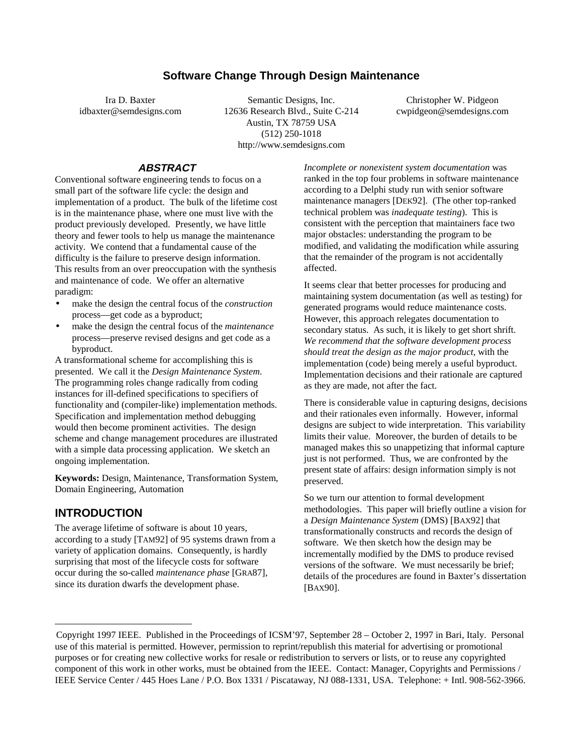## **Software Change Through Design Maintenance**

Ira D. Baxter Semantic Designs, Inc. Christopher W. Pidgeon idbaxter@semdesigns.com 12636 Research Blvd., Suite C-214 Austin, TX 78759 USA (512) 250-1018 http://www.semdesigns.com

cwpidgeon@semdesigns.com

#### **ABSTRACT**

Conventional software engineering tends to focus on a small part of the software life cycle: the design and implementation of a product. The bulk of the lifetime cost is in the maintenance phase, where one must live with the product previously developed. Presently, we have little theory and fewer tools to help us manage the maintenance activity. We contend that a fundamental cause of the difficulty is the failure to preserve design information. This results from an over preoccupation with the synthesis and maintenance of code. We offer an alternative paradigm:

- make the design the central focus of the *construction* process—get code as a byproduct;
- make the design the central focus of the *maintenance* process—preserve revised designs and get code as a byproduct.

A transformational scheme for accomplishing this is presented. We call it the *Design Maintenance System*. The programming roles change radically from coding instances for ill-defined specifications to specifiers of functionality and (compiler-like) implementation methods. Specification and implementation method debugging would then become prominent activities. The design scheme and change management procedures are illustrated with a simple data processing application. We sketch an ongoing implementation.

**Keywords:** Design, Maintenance, Transformation System, Domain Engineering, Automation

## **INTRODUCTION**

-

The average lifetime of software is about 10 years, according to a study [TAM92] of 95 systems drawn from a variety of application domains. Consequently, is hardly surprising that most of the lifecycle costs for software occur during the so-called *maintenance phase* [GRA87], since its duration dwarfs the development phase.

*Incomplete or nonexistent system documentation* was ranked in the top four problems in software maintenance according to a Delphi study run with senior software maintenance managers [DEK92]. (The other top-ranked technical problem was *inadequate testing*). This is consistent with the perception that maintainers face two major obstacles: understanding the program to be modified, and validating the modification while assuring that the remainder of the program is not accidentally affected.

It seems clear that better processes for producing and maintaining system documentation (as well as testing) for generated programs would reduce maintenance costs. However, this approach relegates documentation to secondary status. As such, it is likely to get short shrift. *We recommend that the software development process should treat the design as the major product*, with the implementation (code) being merely a useful byproduct. Implementation decisions and their rationale are captured as they are made, not after the fact.

There is considerable value in capturing designs, decisions and their rationales even informally. However, informal designs are subject to wide interpretation. This variability limits their value. Moreover, the burden of details to be managed makes this so unappetizing that informal capture just is not performed. Thus, we are confronted by the present state of affairs: design information simply is not preserved.

So we turn our attention to formal development methodologies. This paper will briefly outline a vision for a *Design Maintenance System* (DMS) [BAX92] that transformationally constructs and records the design of software. We then sketch how the design may be incrementally modified by the DMS to produce revised versions of the software. We must necessarily be brief; details of the procedures are found in Baxter's dissertation [BAX90].

Copyright 1997 IEEE. Published in the Proceedings of ICSM'97, September 28 – October 2, 1997 in Bari, Italy. Personal use of this material is permitted. However, permission to reprint/republish this material for advertising or promotional purposes or for creating new collective works for resale or redistribution to servers or lists, or to reuse any copyrighted component of this work in other works, must be obtained from the IEEE. Contact: Manager, Copyrights and Permissions / IEEE Service Center / 445 Hoes Lane / P.O. Box 1331 / Piscataway, NJ 088-1331, USA. Telephone: + Intl. 908-562-3966.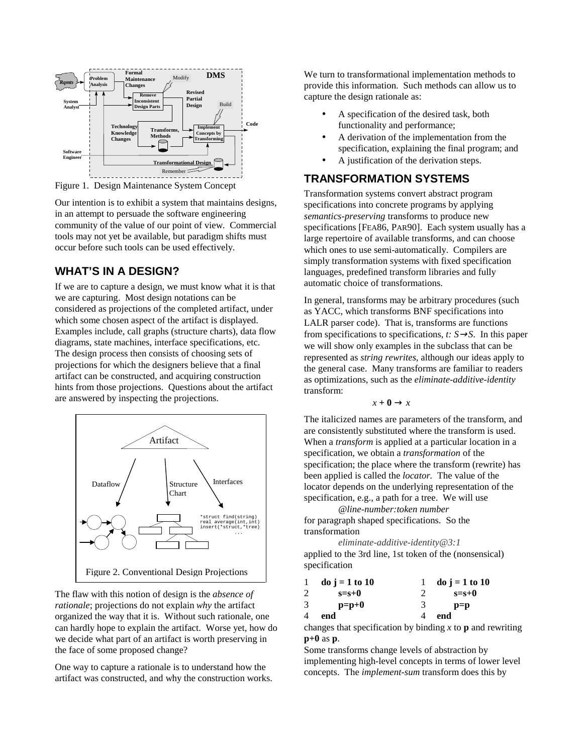

Figure 1. Design Maintenance System Concept

Our intention is to exhibit a system that maintains designs, in an attempt to persuade the software engineering community of the value of our point of view. Commercial tools may not yet be available, but paradigm shifts must occur before such tools can be used effectively.

#### **WHAT'S IN A DESIGN?**

If we are to capture a design, we must know what it is that we are capturing. Most design notations can be considered as projections of the completed artifact, under which some chosen aspect of the artifact is displayed. Examples include, call graphs (structure charts), data flow diagrams, state machines, interface specifications, etc. The design process then consists of choosing sets of projections for which the designers believe that a final artifact can be constructed, and acquiring construction hints from those projections. Questions about the artifact are answered by inspecting the projections.



The flaw with this notion of design is the *absence of rationale*; projections do not explain *why* the artifact organized the way that it is. Without such rationale, one can hardly hope to explain the artifact. Worse yet, how do we decide what part of an artifact is worth preserving in the face of some proposed change?

One way to capture a rationale is to understand how the artifact was constructed, and why the construction works. We turn to transformational implementation methods to provide this information. Such methods can allow us to capture the design rationale as:

- A specification of the desired task, both functionality and performance;
- A derivation of the implementation from the specification, explaining the final program; and
- A justification of the derivation steps.

## **TRANSFORMATION SYSTEMS**

Transformation systems convert abstract program specifications into concrete programs by applying *semantics-preserving* transforms to produce new specifications [FEA86, PAR90]. Each system usually has a large repertoire of available transforms, and can choose which ones to use semi-automatically. Compilers are simply transformation systems with fixed specification languages, predefined transform libraries and fully automatic choice of transformations.

In general, transforms may be arbitrary procedures (such as YACC, which transforms BNF specifications into LALR parser code). That is, transforms are functions from specifications to specifications, *t: S*→*S*. In this paper we will show only examples in the subclass that can be represented as *string rewrites*, although our ideas apply to the general case. Many transforms are familiar to readers as optimizations, such as the *eliminate-additive-identity* transform:

$$
x + \mathbf{0} \to x
$$

The italicized names are parameters of the transform, and are consistently substituted where the transform is used. When a *transform* is applied at a particular location in a specification, we obtain a *transformation* of the specification; the place where the transform (rewrite) has been applied is called the *locator.* The value of the locator depends on the underlying representation of the specification, e.g., a path for a tree. We will use

*@line-number:token number* for paragraph shaped specifications. So the transformation

*eliminate-additive-identity@3:1* applied to the 3rd line, 1st token of the (nonsensical) specification

|   | 1 do j = 1 to 10 |   | 1 do j = 1 to 10 |
|---|------------------|---|------------------|
| 2 | $s=s+0$          |   | $s=s+0$          |
| 3 | $p=p+0$          | 3 | $p=p$            |
| 4 | end              | Δ | end              |

changes that specification by binding *x* to **p** and rewriting **p+0** as **p**.

Some transforms change levels of abstraction by implementing high-level concepts in terms of lower level concepts. The *implement-sum* transform does this by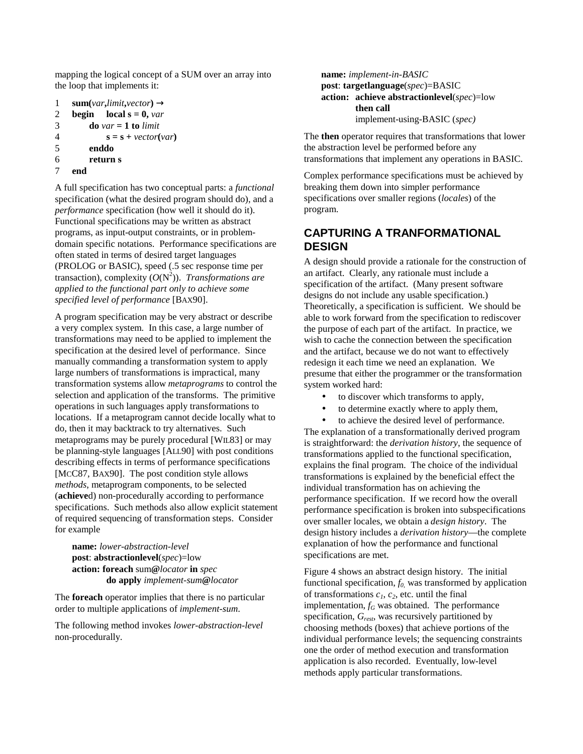mapping the logical concept of a SUM over an array into the loop that implements it:

```
1 sum(var,limit,vector) \rightarrow2 begin \textbf{local } s = 0, var
3 do var = 1 to limit4 \mathbf{s} = \mathbf{s} + \text{vector}(var)5 enddo
6 return s
7 end
```
A full specification has two conceptual parts: a *functional* specification (what the desired program should do), and a *performance* specification (how well it should do it). Functional specifications may be written as abstract programs, as input-output constraints, or in problemdomain specific notations. Performance specifications are often stated in terms of desired target languages (PROLOG or BASIC), speed (.5 sec response time per transaction), complexity  $(O(N^2))$ . *Transformations are applied to the functional part only to achieve some specified level of performance* [BAX90].

A program specification may be very abstract or describe a very complex system. In this case, a large number of transformations may need to be applied to implement the specification at the desired level of performance. Since manually commanding a transformation system to apply large numbers of transformations is impractical, many transformation systems allow *metaprograms* to control the selection and application of the transforms. The primitive operations in such languages apply transformations to locations. If a metaprogram cannot decide locally what to do, then it may backtrack to try alternatives. Such metaprograms may be purely procedural [WIL83] or may be planning-style languages [ALL90] with post conditions describing effects in terms of performance specifications [MCC87, BAX90]. The post condition style allows *methods*, metaprogram components, to be selected (**achieve**d) non-procedurally according to performance specifications. Such methods also allow explicit statement of required sequencing of transformation steps. Consider for example

```
name: lower-abstraction-level
post: abstractionlevel(spec)=low
action: foreach sum@locator in spec
        do apply implement-sum@locator
```
The **foreach** operator implies that there is no particular order to multiple applications of *implement-sum*.

The following method invokes *lower-abstraction-level* non-procedurally.

**name:** *implement-in-BASIC* **post**: **targetlanguage**(*spec*)=BASIC **action: achieve abstractionlevel**(*spec*)=low **then call** implement-using-BASIC (*spec)*

The **then** operator requires that transformations that lower the abstraction level be performed before any transformations that implement any operations in BASIC.

Complex performance specifications must be achieved by breaking them down into simpler performance specifications over smaller regions (*locales*) of the program.

# **CAPTURING A TRANFORMATIONAL DESIGN**

A design should provide a rationale for the construction of an artifact. Clearly, any rationale must include a specification of the artifact. (Many present software designs do not include any usable specification.) Theoretically, a specification is sufficient. We should be able to work forward from the specification to rediscover the purpose of each part of the artifact. In practice, we wish to cache the connection between the specification and the artifact, because we do not want to effectively redesign it each time we need an explanation. We presume that either the programmer or the transformation system worked hard:

- to discover which transforms to apply,
- to determine exactly where to apply them,
- to achieve the desired level of performance.

The explanation of a transformationally derived program is straightforward: the *derivation history*, the sequence of transformations applied to the functional specification, explains the final program. The choice of the individual transformations is explained by the beneficial effect the individual transformation has on achieving the performance specification. If we record how the overall performance specification is broken into subspecifications over smaller locales, we obtain a *design history*. The design history includes a *derivation history*—the complete explanation of how the performance and functional specifications are met.

Figure 4 shows an abstract design history. The initial functional specification,  $f_0$  was transformed by application of transformations  $c_1$ ,  $c_2$ , etc. until the final implementation,  $f_G$  was obtained. The performance specification, *Grest*, was recursively partitioned by choosing methods (boxes) that achieve portions of the individual performance levels; the sequencing constraints one the order of method execution and transformation application is also recorded. Eventually, low-level methods apply particular transformations.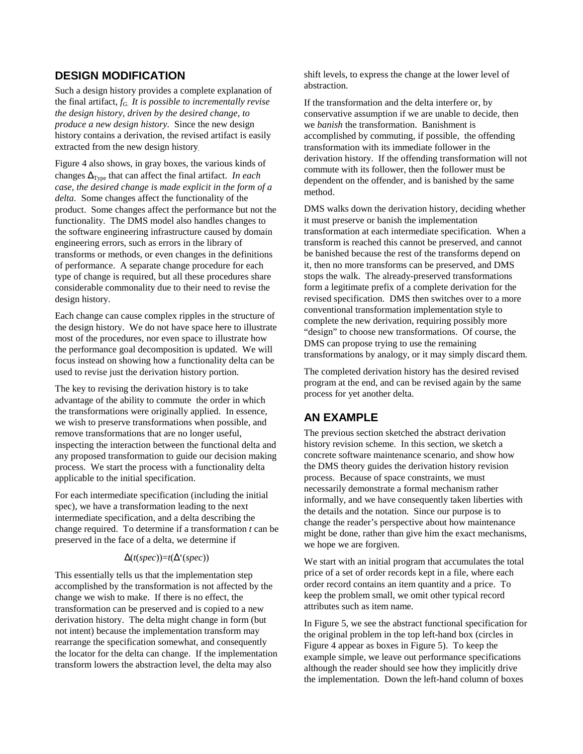## **DESIGN MODIFICATION**

Such a design history provides a complete explanation of the final artifact, *fG. It is possible to incrementally revise the design history, driven by the desired change, to produce a new design history.* Since the new design history contains a derivation, the revised artifact is easily extracted from the new design history*.*

Figure 4 also shows, in gray boxes, the various kinds of changes  $\Delta_{Type}$  that can affect the final artifact. *In each case, the desired change is made explicit in the form of a delta.* Some changes affect the functionality of the product. Some changes affect the performance but not the functionality. The DMS model also handles changes to the software engineering infrastructure caused by domain engineering errors, such as errors in the library of transforms or methods, or even changes in the definitions of performance. A separate change procedure for each type of change is required, but all these procedures share considerable commonality due to their need to revise the design history.

Each change can cause complex ripples in the structure of the design history. We do not have space here to illustrate most of the procedures, nor even space to illustrate how the performance goal decomposition is updated. We will focus instead on showing how a functionality delta can be used to revise just the derivation history portion.

The key to revising the derivation history is to take advantage of the ability to commute the order in which the transformations were originally applied. In essence, we wish to preserve transformations when possible, and remove transformations that are no longer useful, inspecting the interaction between the functional delta and any proposed transformation to guide our decision making process. We start the process with a functionality delta applicable to the initial specification.

For each intermediate specification (including the initial spec), we have a transformation leading to the next intermediate specification, and a delta describing the change required. To determine if a transformation *t* can be preserved in the face of a delta, we determine if

#### ∆(*t*(*spec*))=*t*(∆'(*spec*))

This essentially tells us that the implementation step accomplished by the transformation is not affected by the change we wish to make. If there is no effect, the transformation can be preserved and is copied to a new derivation history. The delta might change in form (but not intent) because the implementation transform may rearrange the specification somewhat, and consequently the locator for the delta can change. If the implementation transform lowers the abstraction level, the delta may also

shift levels, to express the change at the lower level of abstraction.

If the transformation and the delta interfere or, by conservative assumption if we are unable to decide, then we *banish* the transformation. Banishment is accomplished by commuting, if possible, the offending transformation with its immediate follower in the derivation history. If the offending transformation will not commute with its follower, then the follower must be dependent on the offender, and is banished by the same method.

DMS walks down the derivation history, deciding whether it must preserve or banish the implementation transformation at each intermediate specification. When a transform is reached this cannot be preserved, and cannot be banished because the rest of the transforms depend on it, then no more transforms can be preserved, and DMS stops the walk. The already-preserved transformations form a legitimate prefix of a complete derivation for the revised specification. DMS then switches over to a more conventional transformation implementation style to complete the new derivation, requiring possibly more "design" to choose new transformations. Of course, the DMS can propose trying to use the remaining transformations by analogy, or it may simply discard them.

The completed derivation history has the desired revised program at the end, and can be revised again by the same process for yet another delta.

## **AN EXAMPLE**

The previous section sketched the abstract derivation history revision scheme. In this section, we sketch a concrete software maintenance scenario, and show how the DMS theory guides the derivation history revision process. Because of space constraints, we must necessarily demonstrate a formal mechanism rather informally, and we have consequently taken liberties with the details and the notation. Since our purpose is to change the reader's perspective about how maintenance might be done, rather than give him the exact mechanisms, we hope we are forgiven.

We start with an initial program that accumulates the total price of a set of order records kept in a file, where each order record contains an item quantity and a price. To keep the problem small, we omit other typical record attributes such as item name.

In Figure 5, we see the abstract functional specification for the original problem in the top left-hand box (circles in Figure 4 appear as boxes in Figure 5). To keep the example simple, we leave out performance specifications although the reader should see how they implicitly drive the implementation. Down the left-hand column of boxes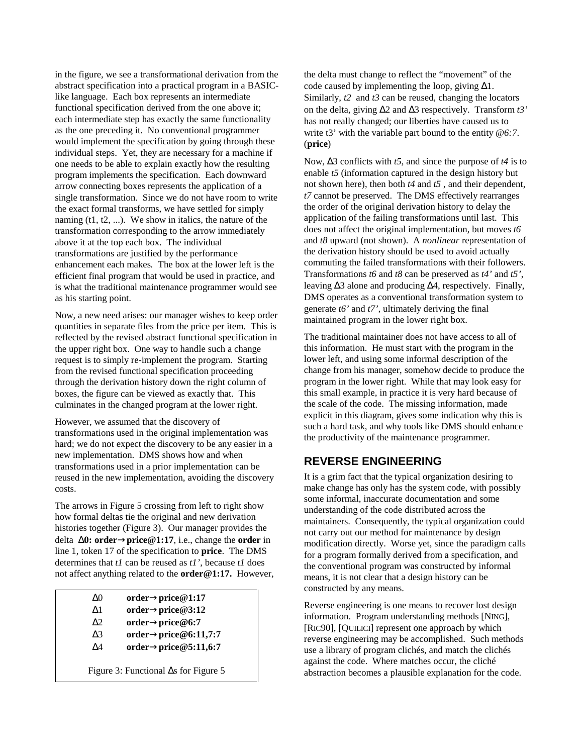in the figure, we see a transformational derivation from the abstract specification into a practical program in a BASIClike language. Each box represents an intermediate functional specification derived from the one above it; each intermediate step has exactly the same functionality as the one preceding it. No conventional programmer would implement the specification by going through these individual steps. Yet, they are necessary for a machine if one needs to be able to explain exactly how the resulting program implements the specification. Each downward arrow connecting boxes represents the application of a single transformation. Since we do not have room to write the exact formal transforms, we have settled for simply naming  $(t1, t2, ...)$ . We show in italics, the nature of the transformation corresponding to the arrow immediately above it at the top each box. The individual transformations are justified by the performance enhancement each makes*.* The box at the lower left is the efficient final program that would be used in practice, and is what the traditional maintenance programmer would see as his starting point.

Now, a new need arises: our manager wishes to keep order quantities in separate files from the price per item. This is reflected by the revised abstract functional specification in the upper right box. One way to handle such a change request is to simply re-implement the program. Starting from the revised functional specification proceeding through the derivation history down the right column of boxes, the figure can be viewed as exactly that. This culminates in the changed program at the lower right.

However, we assumed that the discovery of transformations used in the original implementation was hard; we do not expect the discovery to be any easier in a new implementation. DMS shows how and when transformations used in a prior implementation can be reused in the new implementation, avoiding the discovery costs.

The arrows in Figure 5 crossing from left to right show how formal deltas tie the original and new derivation histories together (Figure 3). Our manager provides the delta ∆**0: order**→**price@1:17**, i.e., change the **order** in line 1, token 17 of the specification to **price**. The DMS determines that *t1* can be reused as *t1'*, because *t1* does not affect anything related to the **order@1:17.** However,

| $\Delta 0$  | order $\rightarrow$ price@1:17     |
|-------------|------------------------------------|
| $\Lambda$ 1 | order $\rightarrow$ price@3:12     |
| $\Lambda$ 2 | order $\rightarrow$ price@6:7      |
| $\Delta$ 3  | order $\rightarrow$ price@6:11,7:7 |

∆4 **order**→**price@5:11,6:7**

Figure 3: Functional ∆s for Figure 5

the delta must change to reflect the "movement" of the code caused by implementing the loop, giving  $\Delta 1$ . Similarly,  $t^2$  and  $t^3$  can be reused, changing the locators on the delta, giving ∆2 and ∆3 respectively. Transform *t3'* has not really changed; our liberties have caused us to write t3' with the variable part bound to the entity *@6:7*. (**price**)

Now, ∆3 conflicts with *t5*, and since the purpose of *t4* is to enable *t5* (information captured in the design history but not shown here), then both *t4* and *t5* , and their dependent, *t7* cannot be preserved. The DMS effectively rearranges the order of the original derivation history to delay the application of the failing transformations until last. This does not affect the original implementation, but moves *t6* and *t8* upward (not shown). A *nonlinear* representation of the derivation history should be used to avoid actually commuting the failed transformations with their followers. Transformations *t6* and *t8* can be preserved as *t4'* and *t5'*, leaving ∆3 alone and producing ∆4, respectively. Finally, DMS operates as a conventional transformation system to generate *t6'* and *t7',* ultimately deriving the final maintained program in the lower right box.

The traditional maintainer does not have access to all of this information. He must start with the program in the lower left, and using some informal description of the change from his manager, somehow decide to produce the program in the lower right. While that may look easy for this small example, in practice it is very hard because of the scale of the code. The missing information, made explicit in this diagram, gives some indication why this is such a hard task, and why tools like DMS should enhance the productivity of the maintenance programmer.

## **REVERSE ENGINEERING**

It is a grim fact that the typical organization desiring to make change has only has the system code, with possibly some informal, inaccurate documentation and some understanding of the code distributed across the maintainers. Consequently, the typical organization could not carry out our method for maintenance by design modification directly. Worse yet, since the paradigm calls for a program formally derived from a specification, and the conventional program was constructed by informal means, it is not clear that a design history can be constructed by any means.

Reverse engineering is one means to recover lost design information. Program understanding methods [NING], [RIC90], [QUILICI] represent one approach by which reverse engineering may be accomplished. Such methods use a library of program clichés, and match the clichés against the code. Where matches occur, the cliché abstraction becomes a plausible explanation for the code.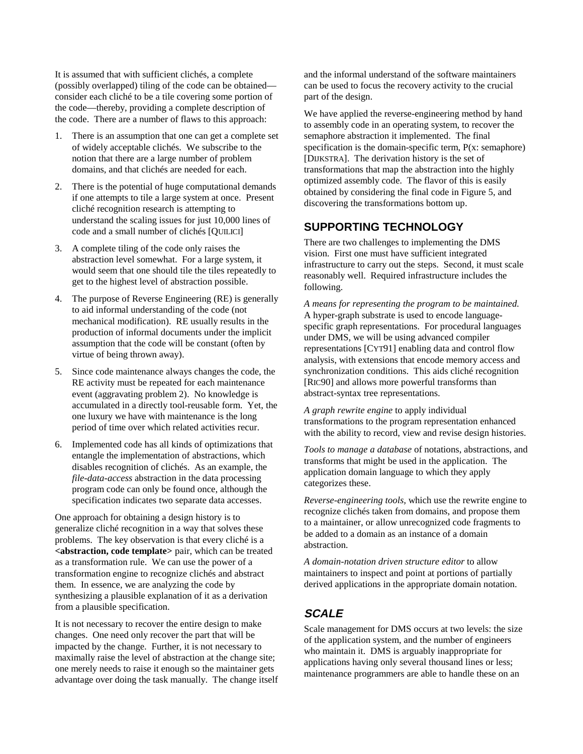It is assumed that with sufficient clichés, a complete (possibly overlapped) tiling of the code can be obtained consider each cliché to be a tile covering some portion of the code—thereby, providing a complete description of the code. There are a number of flaws to this approach:

- 1. There is an assumption that one can get a complete set of widely acceptable clichés. We subscribe to the notion that there are a large number of problem domains, and that clichés are needed for each.
- 2. There is the potential of huge computational demands if one attempts to tile a large system at once. Present cliché recognition research is attempting to understand the scaling issues for just 10,000 lines of code and a small number of clichés [QUILICI]
- 3. A complete tiling of the code only raises the abstraction level somewhat. For a large system, it would seem that one should tile the tiles repeatedly to get to the highest level of abstraction possible.
- 4. The purpose of Reverse Engineering (RE) is generally to aid informal understanding of the code (not mechanical modification). RE usually results in the production of informal documents under the implicit assumption that the code will be constant (often by virtue of being thrown away).
- 5. Since code maintenance always changes the code, the RE activity must be repeated for each maintenance event (aggravating problem 2). No knowledge is accumulated in a directly tool-reusable form. Yet, the one luxury we have with maintenance is the long period of time over which related activities recur.
- 6. Implemented code has all kinds of optimizations that entangle the implementation of abstractions, which disables recognition of clichés. As an example, the *file-data-access* abstraction in the data processing program code can only be found once, although the specification indicates two separate data accesses.

One approach for obtaining a design history is to generalize cliché recognition in a way that solves these problems. The key observation is that every cliché is a **<abstraction, code template>** pair, which can be treated as a transformation rule. We can use the power of a transformation engine to recognize clichés and abstract them. In essence, we are analyzing the code by synthesizing a plausible explanation of it as a derivation from a plausible specification.

It is not necessary to recover the entire design to make changes. One need only recover the part that will be impacted by the change. Further, it is not necessary to maximally raise the level of abstraction at the change site; one merely needs to raise it enough so the maintainer gets advantage over doing the task manually. The change itself and the informal understand of the software maintainers can be used to focus the recovery activity to the crucial part of the design.

We have applied the reverse-engineering method by hand to assembly code in an operating system, to recover the semaphore abstraction it implemented. The final specification is the domain-specific term, P(x: semaphore) [DIJKSTRA]. The derivation history is the set of transformations that map the abstraction into the highly optimized assembly code. The flavor of this is easily obtained by considering the final code in Figure 5, and discovering the transformations bottom up.

## **SUPPORTING TECHNOLOGY**

There are two challenges to implementing the DMS vision. First one must have sufficient integrated infrastructure to carry out the steps. Second, it must scale reasonably well. Required infrastructure includes the following.

*A means for representing the program to be maintained.* A hyper-graph substrate is used to encode languagespecific graph representations. For procedural languages under DMS, we will be using advanced compiler representations [CYT91] enabling data and control flow analysis, with extensions that encode memory access and synchronization conditions. This aids cliché recognition [RIC90] and allows more powerful transforms than abstract-syntax tree representations.

*A graph rewrite engine* to apply individual transformations to the program representation enhanced with the ability to record, view and revise design histories.

*Tools to manage a database* of notations, abstractions, and transforms that might be used in the application. The application domain language to which they apply categorizes these.

*Reverse-engineering tools,* which use the rewrite engine to recognize clichés taken from domains, and propose them to a maintainer, or allow unrecognized code fragments to be added to a domain as an instance of a domain abstraction.

*A domain-notation driven structure editor* to allow maintainers to inspect and point at portions of partially derived applications in the appropriate domain notation.

## **SCALE**

Scale management for DMS occurs at two levels: the size of the application system, and the number of engineers who maintain it. DMS is arguably inappropriate for applications having only several thousand lines or less; maintenance programmers are able to handle these on an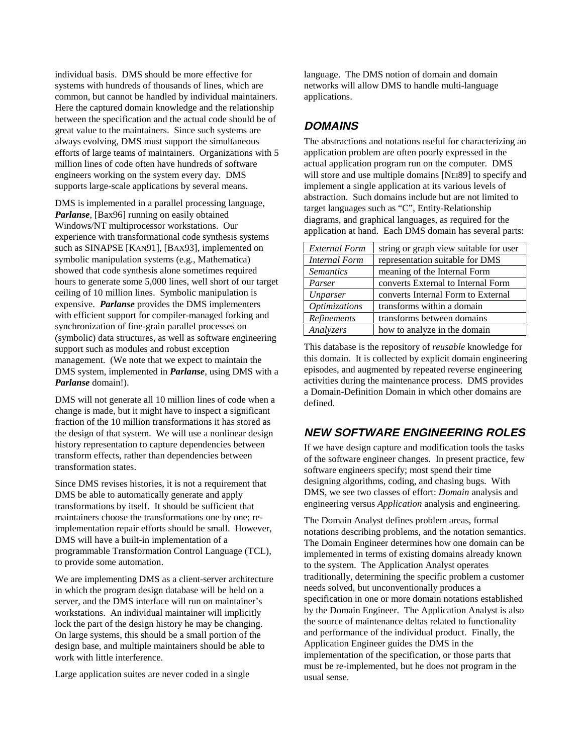individual basis. DMS should be more effective for systems with hundreds of thousands of lines, which are common, but cannot be handled by individual maintainers. Here the captured domain knowledge and the relationship between the specification and the actual code should be of great value to the maintainers. Since such systems are always evolving, DMS must support the simultaneous efforts of large teams of maintainers. Organizations with 5 million lines of code often have hundreds of software engineers working on the system every day. DMS supports large-scale applications by several means.

DMS is implemented in a parallel processing language, *Parlanse*, [Bax96] running on easily obtained Windows/NT multiprocessor workstations. Our experience with transformational code synthesis systems such as SINAPSE [KAN91], [BAX93], implemented on symbolic manipulation systems (e.g., Mathematica) showed that code synthesis alone sometimes required hours to generate some 5,000 lines, well short of our target ceiling of 10 million lines. Symbolic manipulation is expensive. *Parlanse* provides the DMS implementers with efficient support for compiler-managed forking and synchronization of fine-grain parallel processes on (symbolic) data structures, as well as software engineering support such as modules and robust exception management. (We note that we expect to maintain the DMS system, implemented in *Parlanse*, using DMS with a *Parlanse* domain!).

DMS will not generate all 10 million lines of code when a change is made, but it might have to inspect a significant fraction of the 10 million transformations it has stored as the design of that system. We will use a nonlinear design history representation to capture dependencies between transform effects, rather than dependencies between transformation states.

Since DMS revises histories, it is not a requirement that DMS be able to automatically generate and apply transformations by itself. It should be sufficient that maintainers choose the transformations one by one; reimplementation repair efforts should be small. However, DMS will have a built-in implementation of a programmable Transformation Control Language (TCL), to provide some automation.

We are implementing DMS as a client-server architecture in which the program design database will be held on a server, and the DMS interface will run on maintainer's workstations. An individual maintainer will implicitly lock the part of the design history he may be changing. On large systems, this should be a small portion of the design base, and multiple maintainers should be able to work with little interference.

Large application suites are never coded in a single

language. The DMS notion of domain and domain networks will allow DMS to handle multi-language applications.

#### **DOMAINS**

The abstractions and notations useful for characterizing an application problem are often poorly expressed in the actual application program run on the computer. DMS will store and use multiple domains [NEI89] to specify and implement a single application at its various levels of abstraction. Such domains include but are not limited to target languages such as "C", Entity-Relationship diagrams, and graphical languages, as required for the application at hand. Each DMS domain has several parts:

| <b>External Form</b>        | string or graph view suitable for user |
|-----------------------------|----------------------------------------|
| <b>Internal Form</b>        | representation suitable for DMS        |
| <b>Semantics</b>            | meaning of the Internal Form           |
| Parser                      | converts External to Internal Form     |
| Unparser                    | converts Internal Form to External     |
| <i><b>Optimizations</b></i> | transforms within a domain             |
| Refinements                 | transforms between domains             |
| Analyzers                   | how to analyze in the domain           |

This database is the repository of *reusable* knowledge for this domain. It is collected by explicit domain engineering episodes, and augmented by repeated reverse engineering activities during the maintenance process. DMS provides a Domain-Definition Domain in which other domains are defined.

## **NEW SOFTWARE ENGINEERING ROLES**

If we have design capture and modification tools the tasks of the software engineer changes. In present practice, few software engineers specify; most spend their time designing algorithms, coding, and chasing bugs. With DMS, we see two classes of effort: *Domain* analysis and engineering versus *Application* analysis and engineering.

The Domain Analyst defines problem areas, formal notations describing problems, and the notation semantics. The Domain Engineer determines how one domain can be implemented in terms of existing domains already known to the system. The Application Analyst operates traditionally, determining the specific problem a customer needs solved, but unconventionally produces a specification in one or more domain notations established by the Domain Engineer. The Application Analyst is also the source of maintenance deltas related to functionality and performance of the individual product. Finally, the Application Engineer guides the DMS in the implementation of the specification, or those parts that must be re-implemented, but he does not program in the usual sense.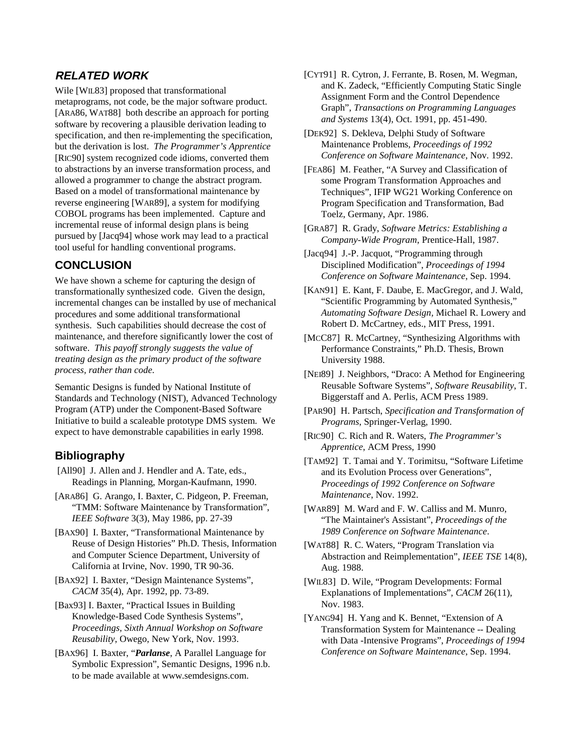## **RELATED WORK**

Wile [WIL83] proposed that transformational metaprograms, not code, be the major software product. [ARA86, WAT88] both describe an approach for porting software by recovering a plausible derivation leading to specification, and then re-implementing the specification, but the derivation is lost. *The Programmer's Apprentice* [RIC90] system recognized code idioms, converted them to abstractions by an inverse transformation process, and allowed a programmer to change the abstract program. Based on a model of transformational maintenance by reverse engineering [WAR89], a system for modifying COBOL programs has been implemented. Capture and incremental reuse of informal design plans is being pursued by [Jacq94] whose work may lead to a practical tool useful for handling conventional programs.

## **CONCLUSION**

We have shown a scheme for capturing the design of transformationally synthesized code. Given the design, incremental changes can be installed by use of mechanical procedures and some additional transformational synthesis. Such capabilities should decrease the cost of maintenance, and therefore significantly lower the cost of software. *This payoff strongly suggests the value of treating design as the primary product of the software process, rather than code.*

Semantic Designs is funded by National Institute of Standards and Technology (NIST), Advanced Technology Program (ATP) under the Component-Based Software Initiative to build a scaleable prototype DMS system. We expect to have demonstrable capabilities in early 1998.

## **Bibliography**

- [All90] J. Allen and J. Hendler and A. Tate, eds., Readings in Planning, Morgan-Kaufmann, 1990.
- [ARA86] G. Arango, I. Baxter, C. Pidgeon, P. Freeman, "TMM: Software Maintenance by Transformation", *IEEE Software* 3(3), May 1986, pp. 27-39
- [BAX90] I. Baxter, "Transformational Maintenance by Reuse of Design Histories" Ph.D. Thesis, Information and Computer Science Department, University of California at Irvine, Nov. 1990, TR 90-36.
- [BAX92] I. Baxter, "Design Maintenance Systems", *CACM* 35(4), Apr. 1992, pp. 73-89.
- [Bax93] I. Baxter, "Practical Issues in Building Knowledge-Based Code Synthesis Systems", *Proceedings, Sixth Annual Workshop on Software Reusability*, Owego, New York, Nov. 1993.
- [BAX96] I. Baxter, "*Parlanse*, A Parallel Language for Symbolic Expression", Semantic Designs, 1996 n.b. to be made available at www.semdesigns.com.
- [CYT91] R. Cytron, J. Ferrante, B. Rosen, M. Wegman, and K. Zadeck, "Efficiently Computing Static Single Assignment Form and the Control Dependence Graph", *Transactions on Programming Languages and Systems* 13(4), Oct. 1991, pp. 451-490.
- [DEK92] S. Dekleva, Delphi Study of Software Maintenance Problems*, Proceedings of 1992 Conference on Software Maintenance*, Nov. 1992.
- [FEA86] M. Feather, "A Survey and Classification of some Program Transformation Approaches and Techniques", IFIP WG21 Working Conference on Program Specification and Transformation, Bad Toelz, Germany, Apr. 1986.
- [GRA87] R. Grady, *Software Metrics: Establishing a Company-Wide Program*, Prentice-Hall, 1987.
- [Jacq94] J.-P. Jacquot, "Programming through Disciplined Modification", *Proceedings of 1994 Conference on Software Maintenance*, Sep. 1994.
- [KAN91] E. Kant, F. Daube, E. MacGregor, and J. Wald, "Scientific Programming by Automated Synthesis," *Automating Software Design,* Michael R. Lowery and Robert D. McCartney, eds., MIT Press, 1991.
- [MCC87] R. McCartney, "Synthesizing Algorithms with Performance Constraints," Ph.D. Thesis, Brown University 1988.
- [NEI89] J. Neighbors, "Draco: A Method for Engineering Reusable Software Systems", *Software Reusability*, T. Biggerstaff and A. Perlis, ACM Press 1989.
- [PAR90] H. Partsch, *Specification and Transformation of Programs*, Springer-Verlag, 1990.
- [RIC90] C. Rich and R. Waters, *The Programmer's Apprentice*, ACM Press, 1990
- [TAM92] T. Tamai and Y. Torimitsu, "Software Lifetime and its Evolution Process over Generations", *Proceedings of 1992 Conference on Software Maintenance*, Nov. 1992.
- [WAR89] M. Ward and F. W. Calliss and M. Munro, "The Maintainer's Assistant", *Proceedings of the 1989 Conference on Software Maintenance*.
- [WAT88] R. C. Waters, "Program Translation via Abstraction and Reimplementation", *IEEE TSE* 14(8), Aug. 1988.
- [WIL83] D. Wile, "Program Developments: Formal Explanations of Implementations"*, CACM* 26(11), Nov. 1983.
- [YANG94] H. Yang and K. Bennet, "Extension of A Transformation System for Maintenance -- Dealing with Data -Intensive Programs", *Proceedings of 1994 Conference on Software Maintenance*, Sep. 1994.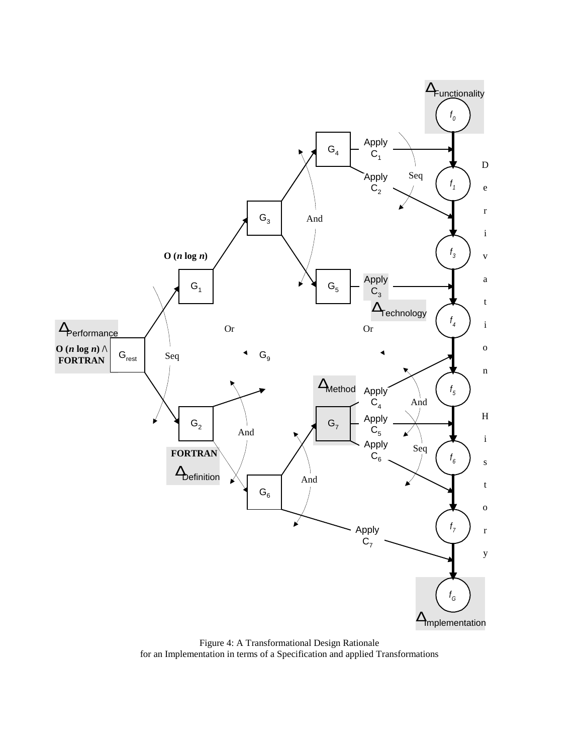

Figure 4: A Transformational Design Rationale for an Implementation in terms of a Specification and applied Transformations